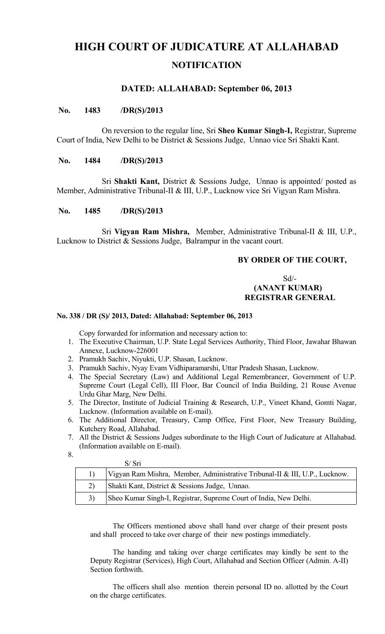# **HIGH COURT OF JUDICATURE AT ALLAHABAD NOTIFICATION**

# **DATED: ALLAHABAD: September 06, 2013**

#### **No. 1483 /DR(S)/2013**

On reversion to the regular line, Sri **Sheo Kumar Singh-I,** Registrar, Supreme Court of India, New Delhi to be District & Sessions Judge, Unnao vice Sri Shakti Kant.

#### **No. 1484 /DR(S)/2013**

Sri **Shakti Kant,** District & Sessions Judge, Unnao is appointed/ posted as Member, Administrative Tribunal-II & III, U.P., Lucknow vice Sri Vigyan Ram Mishra.

#### **No. 1485 /DR(S)/2013**

Sri **Vigyan Ram Mishra,** Member, Administrative Tribunal-II & III, U.P., Lucknow to District & Sessions Judge, Balrampur in the vacant court.

## **BY ORDER OF THE COURT,**

#### $Sd$ <sup>-</sup>  **(ANANT KUMAR) REGISTRAR GENERAL**

#### **No. 338 / DR (S)/ 2013, Dated: Allahabad: September 06, 2013**

Copy forwarded for information and necessary action to:

- 1. The Executive Chairman, U.P. State Legal Services Authority, Third Floor, Jawahar Bhawan Annexe, Lucknow-226001
- 2. Pramukh Sachiv, Niyukti, U.P. Shasan, Lucknow.
- 3. Pramukh Sachiv, Nyay Evam Vidhiparamarshi, Uttar Pradesh Shasan, Lucknow.
- 4. The Special Secretary (Law) and Additional Legal Remembrancer, Government of U.P. Supreme Court (Legal Cell), III Floor, Bar Council of India Building, 21 Rouse Avenue Urdu Ghar Marg, New Delhi.
- 5. The Director, Institute of Judicial Training & Research, U.P., Vineet Khand, Gomti Nagar, Lucknow. (Information available on E-mail).
- 6. The Additional Director, Treasury, Camp Office, First Floor, New Treasury Building, Kutchery Road, Allahabad.
- 7. All the District & Sessions Judges subordinate to the High Court of Judicature at Allahabad. (Information available on E-mail).
- 8.

|  | S/ Sri                                                                      |
|--|-----------------------------------------------------------------------------|
|  | Vigyan Ram Mishra, Member, Administrative Tribunal-II & III, U.P., Lucknow. |
|  | Shakti Kant, District & Sessions Judge, Unnao.                              |
|  | Sheo Kumar Singh-I, Registrar, Supreme Court of India, New Delhi.           |

The Officers mentioned above shall hand over charge of their present posts and shall proceed to take over charge of their new postings immediately.

The handing and taking over charge certificates may kindly be sent to the Deputy Registrar (Services), High Court, Allahabad and Section Officer (Admin. A-II) Section forthwith.

The officers shall also mention therein personal ID no. allotted by the Court on the charge certificates.